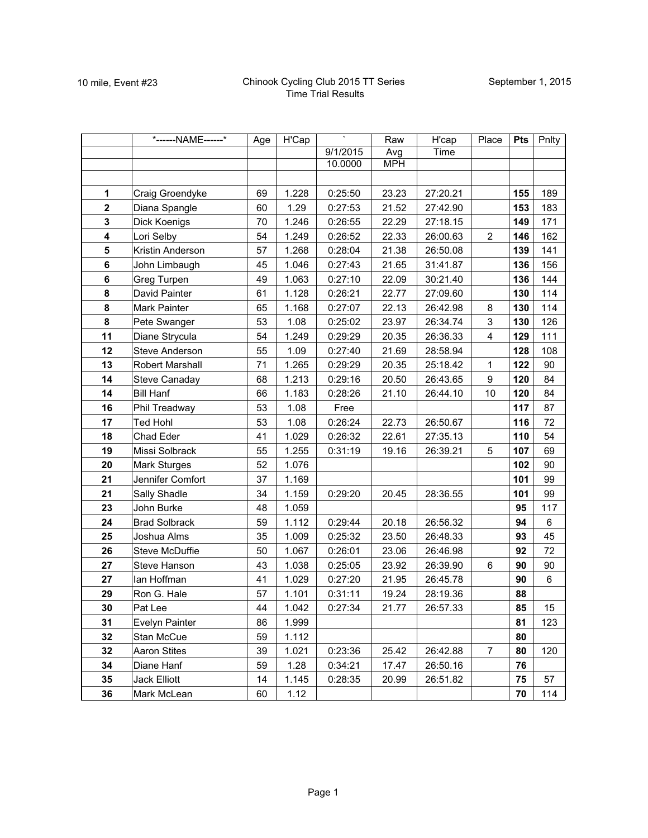|                         | *------NAME------*   | Age | H'Cap |          | Raw        | H'cap    | Place            | Pts | Pnlty |
|-------------------------|----------------------|-----|-------|----------|------------|----------|------------------|-----|-------|
|                         |                      |     |       | 9/1/2015 | Avg        | Time     |                  |     |       |
|                         |                      |     |       | 10.0000  | <b>MPH</b> |          |                  |     |       |
|                         |                      |     |       |          |            |          |                  |     |       |
| 1                       | Craig Groendyke      | 69  | 1.228 | 0:25:50  | 23.23      | 27:20.21 |                  | 155 | 189   |
| $\mathbf{2}$            | Diana Spangle        | 60  | 1.29  | 0:27:53  | 21.52      | 27:42.90 |                  | 153 | 183   |
| $\mathbf 3$             | Dick Koenigs         | 70  | 1.246 | 0:26:55  | 22.29      | 27:18.15 |                  | 149 | 171   |
| $\overline{\mathbf{4}}$ | Lori Selby           | 54  | 1.249 | 0:26:52  | 22.33      | 26:00.63 | $\overline{2}$   | 146 | 162   |
| 5                       | Kristin Anderson     | 57  | 1.268 | 0:28:04  | 21.38      | 26:50.08 |                  | 139 | 141   |
| 6                       | John Limbaugh        | 45  | 1.046 | 0:27:43  | 21.65      | 31:41.87 |                  | 136 | 156   |
| 6                       | Greg Turpen          | 49  | 1.063 | 0:27:10  | 22.09      | 30:21.40 |                  | 136 | 144   |
| 8                       | David Painter        | 61  | 1.128 | 0:26:21  | 22.77      | 27:09.60 |                  | 130 | 114   |
| 8                       | Mark Painter         | 65  | 1.168 | 0:27:07  | 22.13      | 26:42.98 | 8                | 130 | 114   |
| 8                       | Pete Swanger         | 53  | 1.08  | 0:25:02  | 23.97      | 26:34.74 | 3                | 130 | 126   |
| 11                      | Diane Strycula       | 54  | 1.249 | 0:29:29  | 20.35      | 26:36.33 | 4                | 129 | 111   |
| 12                      | Steve Anderson       | 55  | 1.09  | 0:27:40  | 21.69      | 28:58.94 |                  | 128 | 108   |
| 13                      | Robert Marshall      | 71  | 1.265 | 0:29:29  | 20.35      | 25:18.42 | $\mathbf{1}$     | 122 | 90    |
| 14                      | <b>Steve Canaday</b> | 68  | 1.213 | 0:29:16  | 20.50      | 26:43.65 | $\boldsymbol{9}$ | 120 | 84    |
| 14                      | <b>Bill Hanf</b>     | 66  | 1.183 | 0:28:26  | 21.10      | 26:44.10 | 10               | 120 | 84    |
| 16                      | Phil Treadway        | 53  | 1.08  | Free     |            |          |                  | 117 | 87    |
| 17                      | <b>Ted Hohl</b>      | 53  | 1.08  | 0:26:24  | 22.73      | 26:50.67 |                  | 116 | 72    |
| 18                      | Chad Eder            | 41  | 1.029 | 0:26:32  | 22.61      | 27:35.13 |                  | 110 | 54    |
| 19                      | Missi Solbrack       | 55  | 1.255 | 0:31:19  | 19.16      | 26:39.21 | 5                | 107 | 69    |
| 20                      | <b>Mark Sturges</b>  | 52  | 1.076 |          |            |          |                  | 102 | 90    |
| 21                      | Jennifer Comfort     | 37  | 1.169 |          |            |          |                  | 101 | 99    |
| 21                      | Sally Shadle         | 34  | 1.159 | 0:29:20  | 20.45      | 28:36.55 |                  | 101 | 99    |
| 23                      | John Burke           | 48  | 1.059 |          |            |          |                  | 95  | 117   |
| 24                      | <b>Brad Solbrack</b> | 59  | 1.112 | 0:29:44  | 20.18      | 26:56.32 |                  | 94  | 6     |
| 25                      | Joshua Alms          | 35  | 1.009 | 0:25:32  | 23.50      | 26:48.33 |                  | 93  | 45    |
| 26                      | Steve McDuffie       | 50  | 1.067 | 0:26:01  | 23.06      | 26:46.98 |                  | 92  | 72    |
| 27                      | Steve Hanson         | 43  | 1.038 | 0:25:05  | 23.92      | 26:39.90 | 6                | 90  | 90    |
| 27                      | lan Hoffman          | 41  | 1.029 | 0:27:20  | 21.95      | 26:45.78 |                  | 90  | 6     |
| 29                      | Ron G. Hale          | 57  | 1.101 | 0:31:11  | 19.24      | 28:19.36 |                  | 88  |       |
| 30                      | Pat Lee              | 44  | 1.042 | 0:27:34  | 21.77      | 26:57.33 |                  | 85  | 15    |
| 31                      | Evelyn Painter       | 86  | 1.999 |          |            |          |                  | 81  | 123   |
| 32                      | Stan McCue           | 59  | 1.112 |          |            |          |                  | 80  |       |
| 32                      | <b>Aaron Stites</b>  | 39  | 1.021 | 0:23:36  | 25.42      | 26:42.88 | $\overline{7}$   | 80  | 120   |
| 34                      | Diane Hanf           | 59  | 1.28  | 0:34:21  | 17.47      | 26:50.16 |                  | 76  |       |
| 35                      | Jack Elliott         | 14  | 1.145 | 0:28:35  | 20.99      | 26:51.82 |                  | 75  | 57    |
| 36                      | Mark McLean          | 60  | 1.12  |          |            |          |                  | 70  | 114   |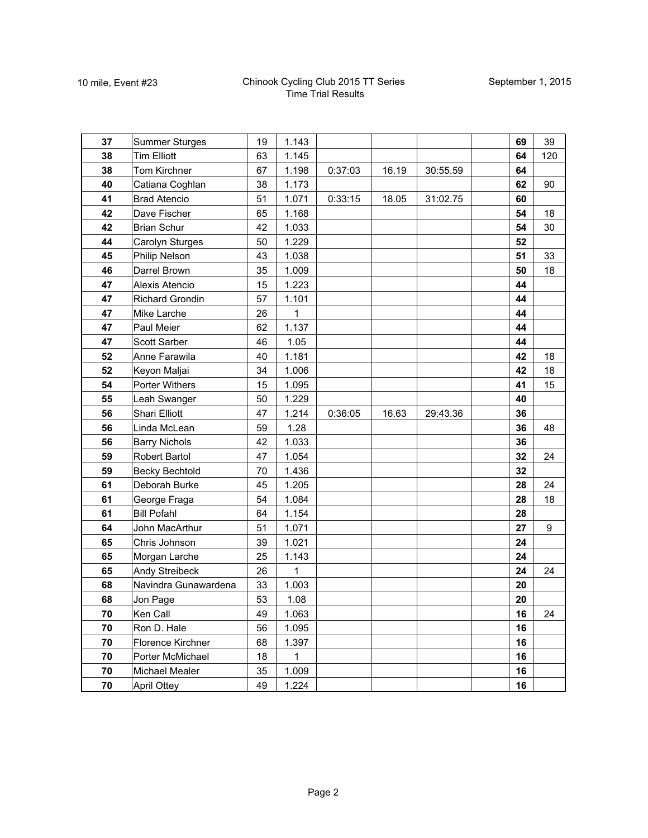| 37 | <b>Summer Sturges</b>  | 19 | 1.143       |         |       |          | 69 | 39  |
|----|------------------------|----|-------------|---------|-------|----------|----|-----|
| 38 | <b>Tim Elliott</b>     | 63 | 1.145       |         |       |          | 64 | 120 |
| 38 | Tom Kirchner           | 67 | 1.198       | 0:37:03 | 16.19 | 30:55.59 | 64 |     |
| 40 | Catiana Coghlan        | 38 | 1.173       |         |       |          | 62 | 90  |
| 41 | <b>Brad Atencio</b>    | 51 | 1.071       | 0:33:15 | 18.05 | 31:02.75 | 60 |     |
| 42 | Dave Fischer           | 65 | 1.168       |         |       |          | 54 | 18  |
| 42 | <b>Brian Schur</b>     | 42 | 1.033       |         |       |          | 54 | 30  |
| 44 | Carolyn Sturges        | 50 | 1.229       |         |       |          | 52 |     |
| 45 | Philip Nelson          | 43 | 1.038       |         |       |          | 51 | 33  |
| 46 | Darrel Brown           | 35 | 1.009       |         |       |          | 50 | 18  |
| 47 | Alexis Atencio         | 15 | 1.223       |         |       |          | 44 |     |
| 47 | <b>Richard Grondin</b> | 57 | 1.101       |         |       |          | 44 |     |
| 47 | Mike Larche            | 26 | 1           |         |       |          | 44 |     |
| 47 | Paul Meier             | 62 | 1.137       |         |       |          | 44 |     |
| 47 | Scott Sarber           | 46 | 1.05        |         |       |          | 44 |     |
| 52 | Anne Farawila          | 40 | 1.181       |         |       |          | 42 | 18  |
| 52 | Keyon Maljai           | 34 | 1.006       |         |       |          | 42 | 18  |
| 54 | Porter Withers         | 15 | 1.095       |         |       |          | 41 | 15  |
| 55 | Leah Swanger           | 50 | 1.229       |         |       |          | 40 |     |
| 56 | Shari Elliott          | 47 | 1.214       | 0:36:05 | 16.63 | 29:43.36 | 36 |     |
| 56 | Linda McLean           | 59 | 1.28        |         |       |          | 36 | 48  |
| 56 | <b>Barry Nichols</b>   | 42 | 1.033       |         |       |          | 36 |     |
| 59 | <b>Robert Bartol</b>   | 47 | 1.054       |         |       |          | 32 | 24  |
| 59 | Becky Bechtold         | 70 | 1.436       |         |       |          | 32 |     |
| 61 | Deborah Burke          | 45 | 1.205       |         |       |          | 28 | 24  |
| 61 | George Fraga           | 54 | 1.084       |         |       |          | 28 | 18  |
| 61 | <b>Bill Pofahl</b>     | 64 | 1.154       |         |       |          | 28 |     |
| 64 | John MacArthur         | 51 | 1.071       |         |       |          | 27 | 9   |
| 65 | Chris Johnson          | 39 | 1.021       |         |       |          | 24 |     |
| 65 | Morgan Larche          | 25 | 1.143       |         |       |          | 24 |     |
| 65 | Andy Streibeck         | 26 | 1           |         |       |          | 24 | 24  |
| 68 | Navindra Gunawardena   | 33 | 1.003       |         |       |          | 20 |     |
| 68 | Jon Page               | 53 | 1.08        |         |       |          | 20 |     |
| 70 | Ken Call               | 49 | 1.063       |         |       |          | 16 | 24  |
| 70 | Ron D. Hale            | 56 | 1.095       |         |       |          | 16 |     |
| 70 | Florence Kirchner      | 68 | 1.397       |         |       |          | 16 |     |
| 70 | Porter McMichael       | 18 | $\mathbf 1$ |         |       |          | 16 |     |
| 70 | Michael Mealer         | 35 | 1.009       |         |       |          | 16 |     |
| 70 | April Ottey            | 49 | 1.224       |         |       |          | 16 |     |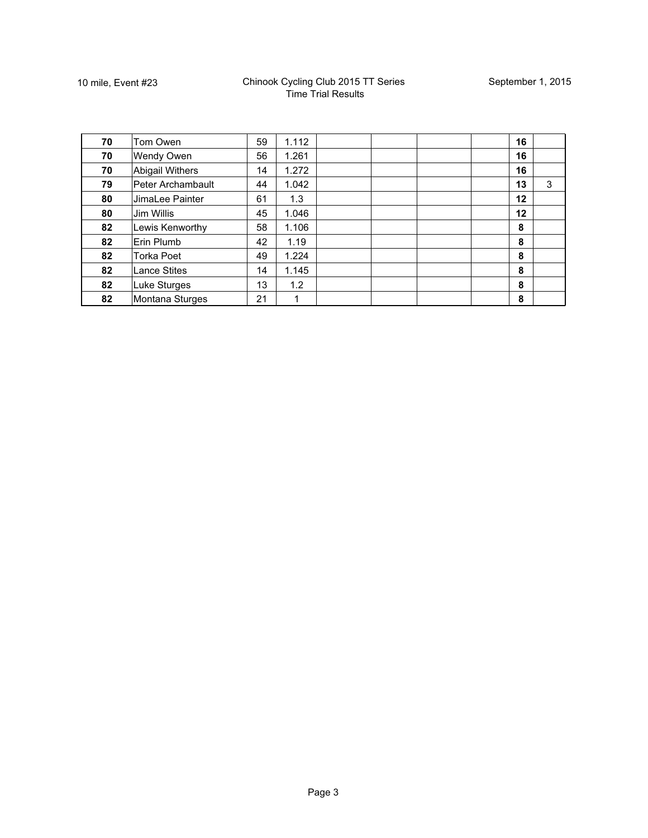| 70 | Tom Owen               | 59 | 1.112 |  | 16 |   |
|----|------------------------|----|-------|--|----|---|
| 70 | <b>Wendy Owen</b>      | 56 | 1.261 |  | 16 |   |
| 70 | <b>Abigail Withers</b> | 14 | 1.272 |  | 16 |   |
| 79 | Peter Archambault      | 44 | 1.042 |  | 13 | 3 |
| 80 | JimaLee Painter        | 61 | 1.3   |  | 12 |   |
| 80 | Jim Willis             | 45 | 1.046 |  | 12 |   |
| 82 | Lewis Kenworthy        | 58 | 1.106 |  | 8  |   |
| 82 | Erin Plumb             | 42 | 1.19  |  | 8  |   |
| 82 | <b>Torka Poet</b>      | 49 | 1.224 |  | 8  |   |
| 82 | <b>Lance Stites</b>    | 14 | 1.145 |  | 8  |   |
| 82 | <b>Luke Sturges</b>    | 13 | 1.2   |  | 8  |   |
| 82 | Montana Sturges        | 21 |       |  | 8  |   |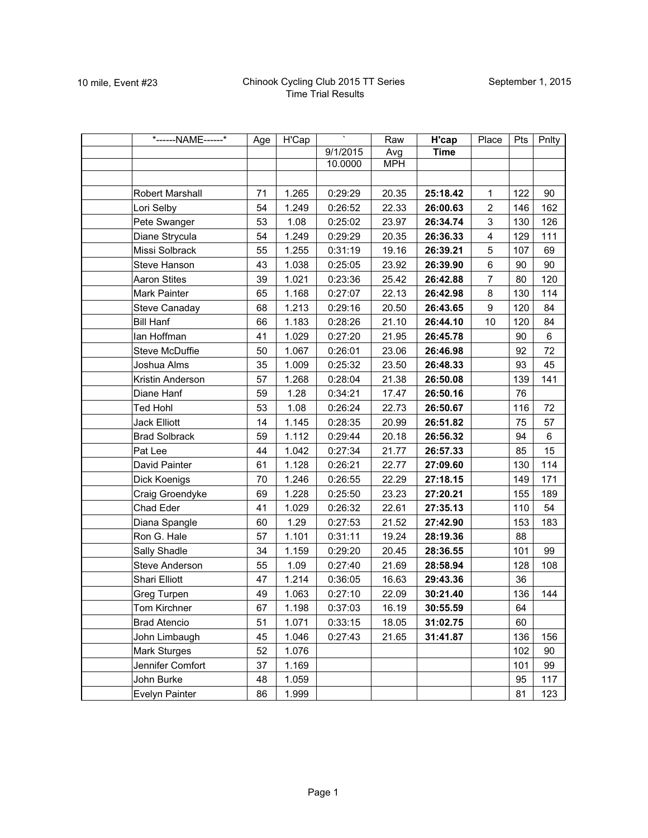| *------NAME------*   | Age | H'Cap |          | Raw        | H'cap       | Place                   | Pts | Pnlty |
|----------------------|-----|-------|----------|------------|-------------|-------------------------|-----|-------|
|                      |     |       | 9/1/2015 | Avg        | <b>Time</b> |                         |     |       |
|                      |     |       | 10.0000  | <b>MPH</b> |             |                         |     |       |
|                      |     |       |          |            |             |                         |     |       |
| Robert Marshall      | 71  | 1.265 | 0:29:29  | 20.35      | 25:18.42    | $\mathbf{1}$            | 122 | 90    |
| Lori Selby           | 54  | 1.249 | 0:26:52  | 22.33      | 26:00.63    | $\overline{2}$          | 146 | 162   |
| Pete Swanger         | 53  | 1.08  | 0:25:02  | 23.97      | 26:34.74    | 3                       | 130 | 126   |
| Diane Strycula       | 54  | 1.249 | 0:29:29  | 20.35      | 26:36.33    | $\overline{\mathbf{4}}$ | 129 | 111   |
| Missi Solbrack       | 55  | 1.255 | 0:31:19  | 19.16      | 26:39.21    | 5                       | 107 | 69    |
| Steve Hanson         | 43  | 1.038 | 0:25:05  | 23.92      | 26:39.90    | 6                       | 90  | 90    |
| <b>Aaron Stites</b>  | 39  | 1.021 | 0:23:36  | 25.42      | 26:42.88    | $\overline{7}$          | 80  | 120   |
| Mark Painter         | 65  | 1.168 | 0:27:07  | 22.13      | 26:42.98    | $\,8\,$                 | 130 | 114   |
| <b>Steve Canaday</b> | 68  | 1.213 | 0:29:16  | 20.50      | 26:43.65    | $9\,$                   | 120 | 84    |
| <b>Bill Hanf</b>     | 66  | 1.183 | 0:28:26  | 21.10      | 26:44.10    | 10                      | 120 | 84    |
| lan Hoffman          | 41  | 1.029 | 0:27:20  | 21.95      | 26:45.78    |                         | 90  | 6     |
| Steve McDuffie       | 50  | 1.067 | 0:26:01  | 23.06      | 26:46.98    |                         | 92  | 72    |
| Joshua Alms          | 35  | 1.009 | 0:25:32  | 23.50      | 26:48.33    |                         | 93  | 45    |
| Kristin Anderson     | 57  | 1.268 | 0:28:04  | 21.38      | 26:50.08    |                         | 139 | 141   |
| Diane Hanf           | 59  | 1.28  | 0:34:21  | 17.47      | 26:50.16    |                         | 76  |       |
| <b>Ted Hohl</b>      | 53  | 1.08  | 0:26:24  | 22.73      | 26:50.67    |                         | 116 | 72    |
| <b>Jack Elliott</b>  | 14  | 1.145 | 0:28:35  | 20.99      | 26:51.82    |                         | 75  | 57    |
| <b>Brad Solbrack</b> | 59  | 1.112 | 0:29:44  | 20.18      | 26:56.32    |                         | 94  | $\,6$ |
| Pat Lee              | 44  | 1.042 | 0:27:34  | 21.77      | 26:57.33    |                         | 85  | 15    |
| David Painter        | 61  | 1.128 | 0:26:21  | 22.77      | 27:09.60    |                         | 130 | 114   |
| Dick Koenigs         | 70  | 1.246 | 0:26:55  | 22.29      | 27:18.15    |                         | 149 | 171   |
| Craig Groendyke      | 69  | 1.228 | 0:25:50  | 23.23      | 27:20.21    |                         | 155 | 189   |
| Chad Eder            | 41  | 1.029 | 0:26:32  | 22.61      | 27:35.13    |                         | 110 | 54    |
| Diana Spangle        | 60  | 1.29  | 0:27:53  | 21.52      | 27:42.90    |                         | 153 | 183   |
| Ron G. Hale          | 57  | 1.101 | 0:31:11  | 19.24      | 28:19.36    |                         | 88  |       |
| Sally Shadle         | 34  | 1.159 | 0:29:20  | 20.45      | 28:36.55    |                         | 101 | 99    |
| Steve Anderson       | 55  | 1.09  | 0:27:40  | 21.69      | 28:58.94    |                         | 128 | 108   |
| Shari Elliott        | 47  | 1.214 | 0:36:05  | 16.63      | 29:43.36    |                         | 36  |       |
| Greg Turpen          | 49  | 1.063 | 0:27:10  | 22.09      | 30:21.40    |                         | 136 | 144   |
| Tom Kirchner         | 67  | 1.198 | 0:37:03  | 16.19      | 30:55.59    |                         | 64  |       |
| <b>Brad Atencio</b>  | 51  | 1.071 | 0:33:15  | 18.05      | 31:02.75    |                         | 60  |       |
| John Limbaugh        | 45  | 1.046 | 0:27:43  | 21.65      | 31:41.87    |                         | 136 | 156   |
| Mark Sturges         | 52  | 1.076 |          |            |             |                         | 102 | 90    |
| Jennifer Comfort     | 37  | 1.169 |          |            |             |                         | 101 | 99    |
| John Burke           | 48  | 1.059 |          |            |             |                         | 95  | 117   |
| Evelyn Painter       | 86  | 1.999 |          |            |             |                         | 81  | 123   |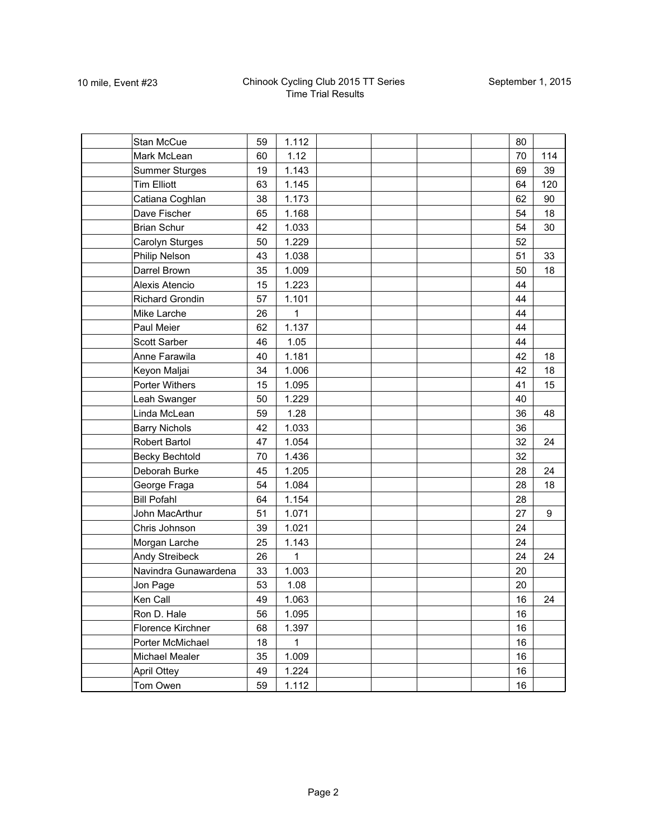| Stan McCue             | 59 | 1.112 |  |  | 80 |     |
|------------------------|----|-------|--|--|----|-----|
| Mark McLean            | 60 | 1.12  |  |  | 70 | 114 |
| <b>Summer Sturges</b>  | 19 | 1.143 |  |  | 69 | 39  |
| <b>Tim Elliott</b>     | 63 | 1.145 |  |  | 64 | 120 |
| Catiana Coghlan        | 38 | 1.173 |  |  | 62 | 90  |
| Dave Fischer           | 65 | 1.168 |  |  | 54 | 18  |
| <b>Brian Schur</b>     | 42 | 1.033 |  |  | 54 | 30  |
| Carolyn Sturges        | 50 | 1.229 |  |  | 52 |     |
| Philip Nelson          | 43 | 1.038 |  |  | 51 | 33  |
| Darrel Brown           | 35 | 1.009 |  |  | 50 | 18  |
| Alexis Atencio         | 15 | 1.223 |  |  | 44 |     |
| <b>Richard Grondin</b> | 57 | 1.101 |  |  | 44 |     |
| Mike Larche            | 26 | 1     |  |  | 44 |     |
| Paul Meier             | 62 | 1.137 |  |  | 44 |     |
| Scott Sarber           | 46 | 1.05  |  |  | 44 |     |
| Anne Farawila          | 40 | 1.181 |  |  | 42 | 18  |
| Keyon Maljai           | 34 | 1.006 |  |  | 42 | 18  |
| Porter Withers         | 15 | 1.095 |  |  | 41 | 15  |
| Leah Swanger           | 50 | 1.229 |  |  | 40 |     |
| Linda McLean           | 59 | 1.28  |  |  | 36 | 48  |
| <b>Barry Nichols</b>   | 42 | 1.033 |  |  | 36 |     |
| Robert Bartol          | 47 | 1.054 |  |  | 32 | 24  |
| <b>Becky Bechtold</b>  | 70 | 1.436 |  |  | 32 |     |
| Deborah Burke          | 45 | 1.205 |  |  | 28 | 24  |
| George Fraga           | 54 | 1.084 |  |  | 28 | 18  |
| <b>Bill Pofahl</b>     | 64 | 1.154 |  |  | 28 |     |
| John MacArthur         | 51 | 1.071 |  |  | 27 | 9   |
| Chris Johnson          | 39 | 1.021 |  |  | 24 |     |
| Morgan Larche          | 25 | 1.143 |  |  | 24 |     |
| Andy Streibeck         | 26 | 1     |  |  | 24 | 24  |
| Navindra Gunawardena   | 33 | 1.003 |  |  | 20 |     |
| Jon Page               | 53 | 1.08  |  |  | 20 |     |
| Ken Call               | 49 | 1.063 |  |  | 16 | 24  |
| Ron D. Hale            | 56 | 1.095 |  |  | 16 |     |
| Florence Kirchner      | 68 | 1.397 |  |  | 16 |     |
| Porter McMichael       | 18 | 1     |  |  | 16 |     |
| <b>Michael Mealer</b>  | 35 | 1.009 |  |  | 16 |     |
| April Ottey            | 49 | 1.224 |  |  | 16 |     |
| Tom Owen               | 59 | 1.112 |  |  | 16 |     |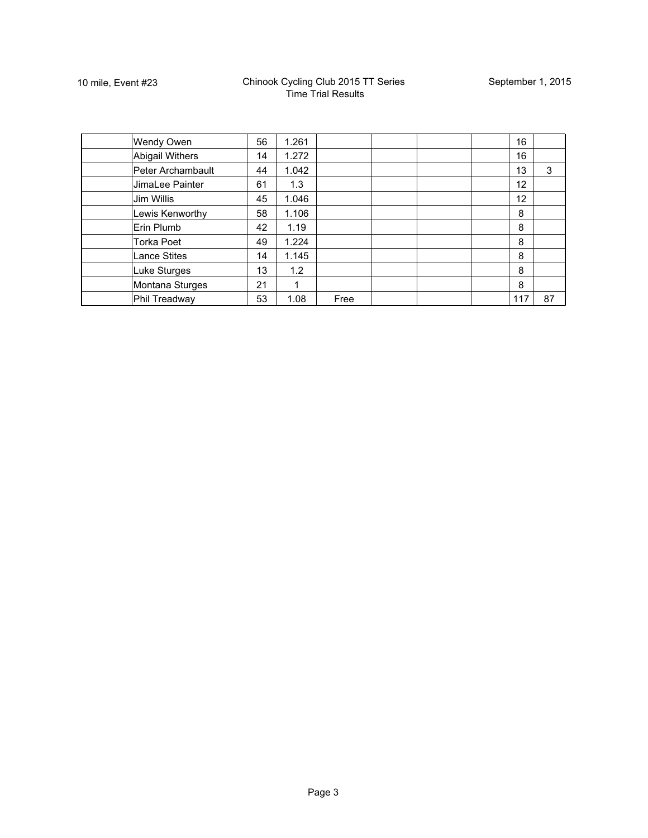| <b>Wendy Owen</b>   | 56 | 1.261 |      |  | 16  |    |
|---------------------|----|-------|------|--|-----|----|
| Abigail Withers     | 14 | 1.272 |      |  | 16  |    |
| Peter Archambault   | 44 | 1.042 |      |  | 13  | 3  |
| JimaLee Painter     | 61 | 1.3   |      |  | 12  |    |
| Jim Willis          | 45 | 1.046 |      |  | 12  |    |
| Lewis Kenworthy     | 58 | 1.106 |      |  | 8   |    |
| Erin Plumb          | 42 | 1.19  |      |  | 8   |    |
| <b>Torka Poet</b>   | 49 | 1.224 |      |  | 8   |    |
| <b>Lance Stites</b> | 14 | 1.145 |      |  | 8   |    |
| Luke Sturges        | 13 | 1.2   |      |  | 8   |    |
| Montana Sturges     | 21 |       |      |  | 8   |    |
| Phil Treadway       | 53 | 1.08  | Free |  | 117 | 87 |